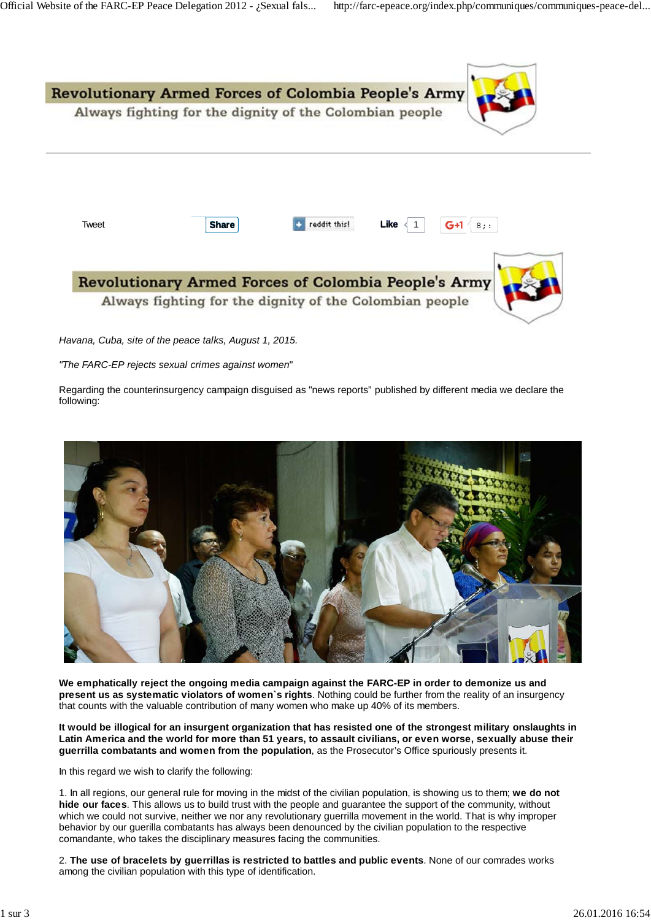

*Havana, Cuba, site of the peace talks, August 1, 2015.*

*"The FARC-EP rejects sexual crimes against women*"

Regarding the counterinsurgency campaign disguised as "news reports" published by different media we declare the following:



**We emphatically reject the ongoing media campaign against the FARC-EP in order to demonize us and present us as systematic violators of women`s rights**. Nothing could be further from the reality of an insurgency that counts with the valuable contribution of many women who make up 40% of its members.

**It would be illogical for an insurgent organization that has resisted one of the strongest military onslaughts in Latin America and the world for more than 51 years, to assault civilians, or even worse, sexually abuse their guerrilla combatants and women from the population**, as the Prosecutor's Office spuriously presents it.

In this regard we wish to clarify the following:

1. In all regions, our general rule for moving in the midst of the civilian population, is showing us to them; **we do not hide our faces**. This allows us to build trust with the people and guarantee the support of the community, without which we could not survive, neither we nor any revolutionary guerrilla movement in the world. That is why improper behavior by our guerilla combatants has always been denounced by the civilian population to the respective comandante, who takes the disciplinary measures facing the communities.

2. **The use of bracelets by guerrillas is restricted to battles and public events**. None of our comrades works among the civilian population with this type of identification.

**http://theirwords.org/**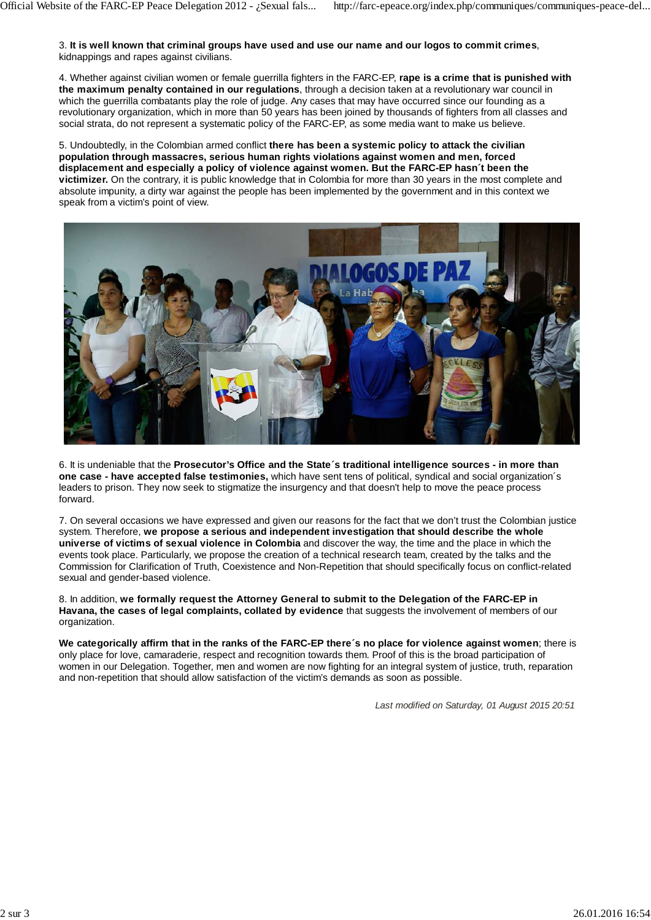3. **It is well known that criminal groups have used and use our name and our logos to commit crimes**, kidnappings and rapes against civilians.

4. Whether against civilian women or female guerrilla fighters in the FARC-EP, **rape is a crime that is punished with the maximum penalty contained in our regulations**, through a decision taken at a revolutionary war council in which the guerrilla combatants play the role of judge. Any cases that may have occurred since our founding as a revolutionary organization, which in more than 50 years has been joined by thousands of fighters from all classes and social strata, do not represent a systematic policy of the FARC-EP, as some media want to make us believe.

5. Undoubtedly, in the Colombian armed conflict **there has been a systemic policy to attack the civilian population through massacres, serious human rights violations against women and men, forced displacement and especially a policy of violence against women. But the FARC-EP hasn´t been the victimizer.** On the contrary, it is public knowledge that in Colombia for more than 30 years in the most complete and absolute impunity, a dirty war against the people has been implemented by the government and in this context we speak from a victim's point of view.



6. It is undeniable that the **Prosecutor's Office and the State´s traditional intelligence sources - in more than one case - have accepted false testimonies,** which have sent tens of political, syndical and social organization´s leaders to prison. They now seek to stigmatize the insurgency and that doesn't help to move the peace process forward.

7. On several occasions we have expressed and given our reasons for the fact that we don't trust the Colombian justice system. Therefore, **we propose a serious and independent investigation that should describe the whole universe of victims of sexual violence in Colombia** and discover the way, the time and the place in which the events took place. Particularly, we propose the creation of a technical research team, created by the talks and the Commission for Clarification of Truth, Coexistence and Non-Repetition that should specifically focus on conflict-related sexual and gender-based violence.

8. In addition, **we formally request the Attorney General to submit to the Delegation of the FARC-EP in Havana, the cases of legal complaints, collated by evidence** that suggests the involvement of members of our organization.

**We categorically affirm that in the ranks of the FARC-EP there´s no place for violence against women**; there is only place for love, camaraderie, respect and recognition towards them. Proof of this is the broad participation of women in our Delegation. Together, men and women are now fighting for an integral system of justice, truth, reparation and non-repetition that should allow satisfaction of the victim's demands as soon as possible.

*Last modified on Saturday, 01 August 2015 20:51*

**http://theirwords.org/**